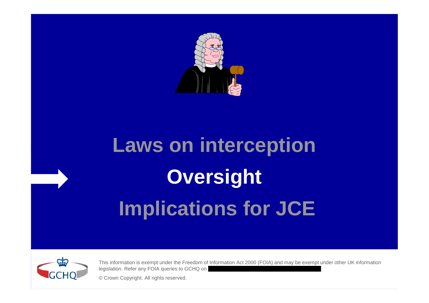

# **Laws on interception Oversight Implications for JCE**



This information is exempt under the Freedom of Information Act 2000 (FOIA) and may be exempt under other UK information legislation. Refer any FOIA queries to GCHQ on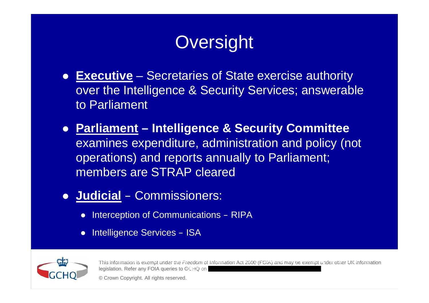## **Oversight**

- **Executive** Secretaries of State exercise authority over the Intelligence & Security Services; answerable to Parliament
- **Parliament – Intelligence & Security Committee** examines expenditure, administration and policy (not operations) and reports annually to Parliament; members are STRAP cleared
- **Judicial** Commissioners:
	- Interception of Communications RIPA
	- Intelligence Services ISA



This information is exempt under the Freedom of Information Act 2000 (FOIA) and may be exempt under other UK information legislation. Refer any FOIA queries to GCHQ on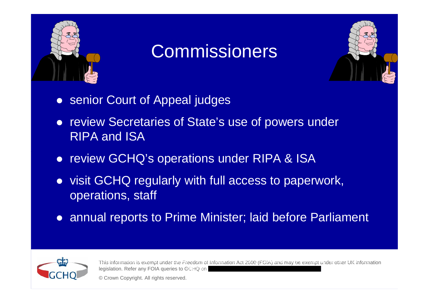

#### Commissioners



- **senior Court of Appeal judges**
- review Secretaries of State's use of powers under RIPA and ISA
- review GCHQ's operations under RIPA & ISA
- visit GCHQ regularly with full access to paperwork, operations, staff
- annual reports to Prime Minister; laid before Parliament



This information is exempt under the Freedom of Information Act 2000 (FOIA) and may be exempt under other UK information legislation. Refer any FOIA queries to GCHQ on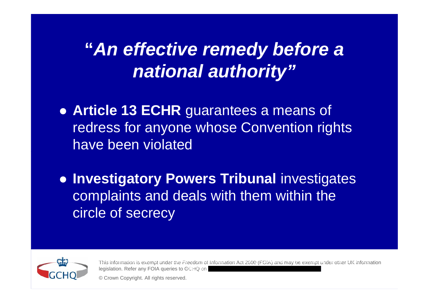### **"***An effective remedy before a national authority"*

 **Article 13 ECHR** guarantees a means of redress for anyone whose Convention rights have been violated

**• Investigatory Powers Tribunal investigates** complaints and deals with them within the circle of secrecy



This information is exempt under the Freedom of Information Act 2000 (FOIA) and may be exempt under other UK information legislation. Refer any FOIA queries to GCHQ on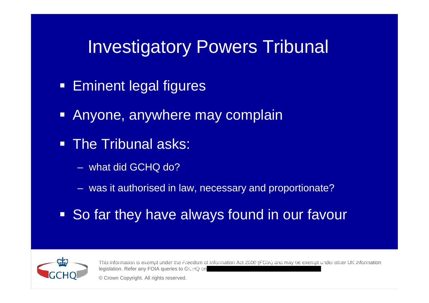#### Investigatory Powers Tribunal

- **Eminent legal figures**
- **Anyone, anywhere may complain**
- The Tribunal asks:
	- what did GCHQ do?
	- was it authorised in law, necessary and proportionate?
- So far they have always found in our favour



This information is exempt under the Freedom of Information Act 2000 (FOIA) and may be exempt under other UK information legislation. Refer any FOIA queries to GCHQ on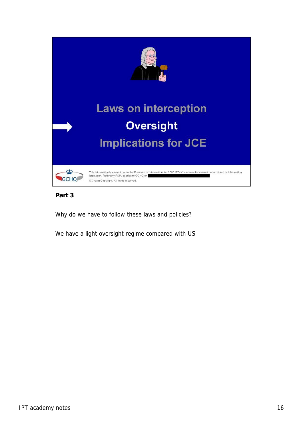

**Part 3**

Why do we have to follow these laws and policies?

We have a light oversight regime compared with US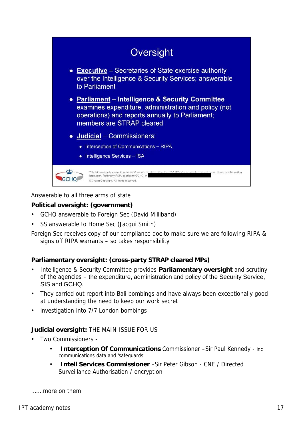

Answerable to all three arms of state

**Political oversight: (government)**

- GCHQ answerable to Foreign Sec (David Milliband)
- SS answerable to Home Sec (Jacqui Smith)

Foreign Sec receives copy of our compliance doc to make sure we are following RIPA & signs off RIPA warrants – so takes responsibility

**Parliamentary oversight: (cross-party STRAP cleared MPs)**

- Intelligence & Security Committee provides **Parliamentary oversight** and scrutiny of the agencies – the expenditure, administration and policy of the Security Service, SIS and GCHQ.
- They carried out report into Bali bombings and have always been exceptionally good at understanding the need to keep our work secret
- investigation into 7/7 London bombings

**Judicial oversight:** THE MAIN ISSUE FOR US

- Two Commissioners
	- **Interception Of Communications** Commissioner –Sir Paul Kennedy inc communications data and 'safeguards'
	- **Intell Services Commissioner** –Sir Peter Gibson CNE / Directed Surveillance Authorisation / encryption

…….more on them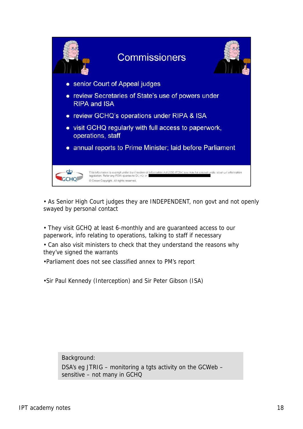

• As Senior High Court judges they are INDEPENDENT, non govt and not openly swayed by personal contact

• They visit GCHQ at least 6-monthly and are guaranteed access to our paperwork, info relating to operations, talking to staff if necessary

• Can also visit ministers to check that they understand the reasons why they've signed the warrants

•Parliament does not see classified annex to PM's report

•Sir Paul Kennedy (Interception) and Sir Peter Gibson (ISA)

Background:

DSA's eg JTRIG – monitoring a tgts activity on the GCWeb – sensitive – not many in GCHQ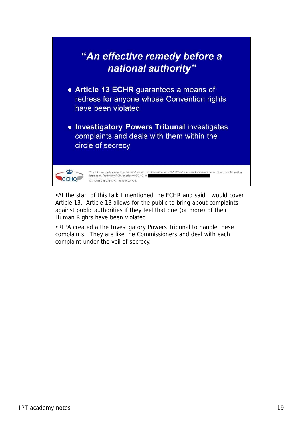

•At the start of this talk I mentioned the ECHR and said I would cover Article 13. Article 13 allows for the public to bring about complaints against public authorities if they feel that one (or more) of their Human Rights have been violated.

•RIPA created a the Investigatory Powers Tribunal to handle these complaints. They are like the Commissioners and deal with each complaint under the veil of secrecy.